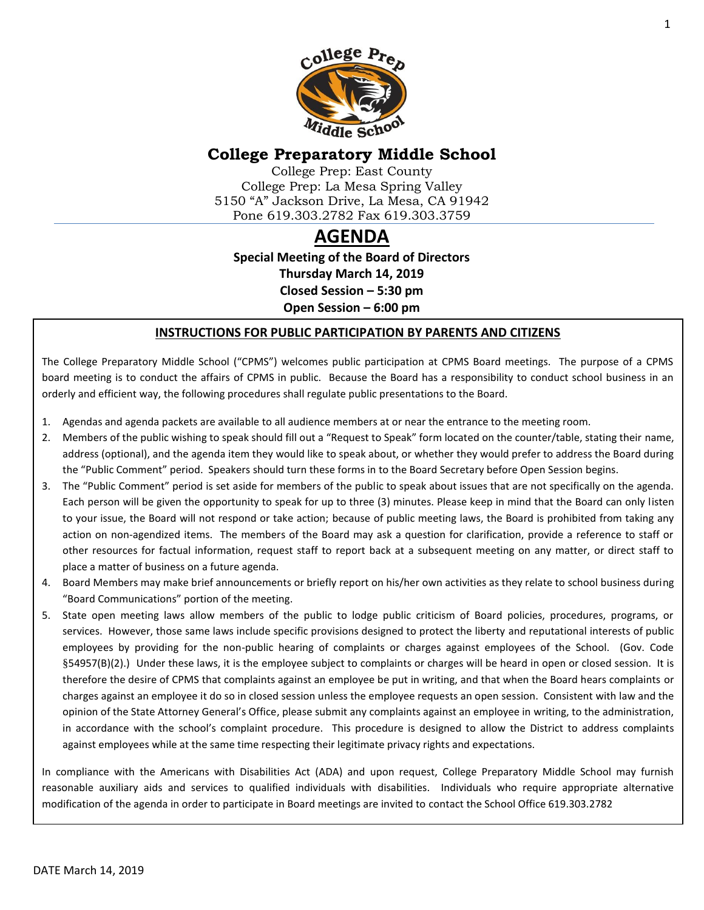

## **College Preparatory Middle School**

College Prep: East County College Prep: La Mesa Spring Valley 5150 "A" Jackson Drive, La Mesa, CA 91942 Pone 619.303.2782 Fax 619.303.3759

# **AGENDA**

**Special Meeting of the Board of Directors Thursday March 14, 2019 Closed Session – 5:30 pm**

**Open Session – 6:00 pm**

#### **INSTRUCTIONS FOR PUBLIC PARTICIPATION BY PARENTS AND CITIZENS**

The College Preparatory Middle School ("CPMS") welcomes public participation at CPMS Board meetings. The purpose of a CPMS board meeting is to conduct the affairs of CPMS in public. Because the Board has a responsibility to conduct school business in an orderly and efficient way, the following procedures shall regulate public presentations to the Board.

- 1. Agendas and agenda packets are available to all audience members at or near the entrance to the meeting room.
- 2. Members of the public wishing to speak should fill out a "Request to Speak" form located on the counter/table, stating their name, address (optional), and the agenda item they would like to speak about, or whether they would prefer to address the Board during the "Public Comment" period. Speakers should turn these forms in to the Board Secretary before Open Session begins.
- 3. The "Public Comment" period is set aside for members of the public to speak about issues that are not specifically on the agenda. Each person will be given the opportunity to speak for up to three (3) minutes. Please keep in mind that the Board can only listen to your issue, the Board will not respond or take action; because of public meeting laws, the Board is prohibited from taking any action on non-agendized items. The members of the Board may ask a question for clarification, provide a reference to staff or other resources for factual information, request staff to report back at a subsequent meeting on any matter, or direct staff to place a matter of business on a future agenda.
- 4. Board Members may make brief announcements or briefly report on his/her own activities as they relate to school business during "Board Communications" portion of the meeting.
- 5. State open meeting laws allow members of the public to lodge public criticism of Board policies, procedures, programs, or services. However, those same laws include specific provisions designed to protect the liberty and reputational interests of public employees by providing for the non-public hearing of complaints or charges against employees of the School. (Gov. Code §54957(B)(2).) Under these laws, it is the employee subject to complaints or charges will be heard in open or closed session. It is therefore the desire of CPMS that complaints against an employee be put in writing, and that when the Board hears complaints or charges against an employee it do so in closed session unless the employee requests an open session. Consistent with law and the opinion of the State Attorney General's Office, please submit any complaints against an employee in writing, to the administration, in accordance with the school's complaint procedure. This procedure is designed to allow the District to address complaints against employees while at the same time respecting their legitimate privacy rights and expectations.

In compliance with the Americans with Disabilities Act (ADA) and upon request, College Preparatory Middle School may furnish reasonable auxiliary aids and services to qualified individuals with disabilities. Individuals who require appropriate alternative modification of the agenda in order to participate in Board meetings are invited to contact the School Office 619.303.2782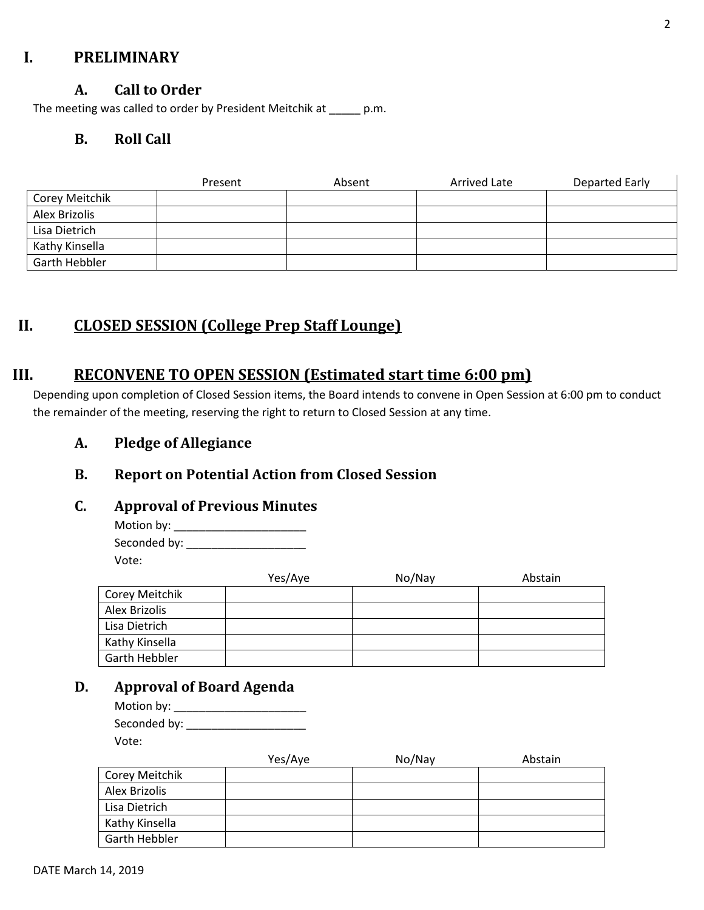## **I. PRELIMINARY**

## **A. Call to Order**

The meeting was called to order by President Meitchik at \_\_\_\_\_ p.m.

## **B. Roll Call**

|                | Present | Absent | Arrived Late | Departed Early |
|----------------|---------|--------|--------------|----------------|
| Corey Meitchik |         |        |              |                |
| Alex Brizolis  |         |        |              |                |
| Lisa Dietrich  |         |        |              |                |
| Kathy Kinsella |         |        |              |                |
| Garth Hebbler  |         |        |              |                |

## **II. CLOSED SESSION (College Prep Staff Lounge)**

## **III. RECONVENE TO OPEN SESSION (Estimated start time 6:00 pm)**

Depending upon completion of Closed Session items, the Board intends to convene in Open Session at 6:00 pm to conduct the remainder of the meeting, reserving the right to return to Closed Session at any time.

**A. Pledge of Allegiance**

## **B. Report on Potential Action from Closed Session**

#### **C. Approval of Previous Minutes**

Motion by: \_\_\_\_\_\_\_\_\_\_\_\_\_\_\_\_\_\_\_\_\_ Seconded by: \_\_\_\_\_\_\_\_\_\_\_\_\_\_\_\_\_\_\_ Vote:

|                | Yes/Aye | No/Nay | Abstain |
|----------------|---------|--------|---------|
| Corey Meitchik |         |        |         |
| Alex Brizolis  |         |        |         |
| Lisa Dietrich  |         |        |         |
| Kathy Kinsella |         |        |         |
| Garth Hebbler  |         |        |         |

## **D. Approval of Board Agenda**

| Motion by: $\overline{\phantom{a}}$ |  |
|-------------------------------------|--|
| Seconded by: _                      |  |
| Vote:                               |  |

|                | Yes/Aye | No/Nay | Abstain |
|----------------|---------|--------|---------|
| Corey Meitchik |         |        |         |
| Alex Brizolis  |         |        |         |
| Lisa Dietrich  |         |        |         |
| Kathy Kinsella |         |        |         |
| Garth Hebbler  |         |        |         |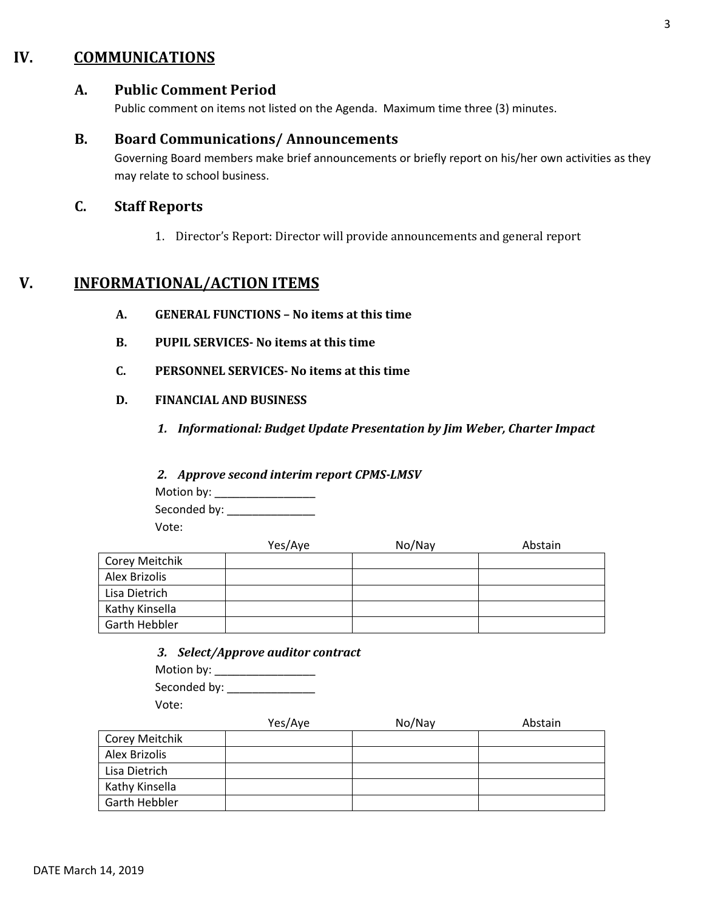## **IV. COMMUNICATIONS**

#### **A. Public Comment Period**

Public comment on items not listed on the Agenda. Maximum time three (3) minutes.

#### **B. Board Communications/ Announcements**

Governing Board members make brief announcements or briefly report on his/her own activities as they may relate to school business.

#### **C. Staff Reports**

1. Director's Report: Director will provide announcements and general report

## **V. INFORMATIONAL/ACTION ITEMS**

- **A. GENERAL FUNCTIONS – No items at this time**
- **B. PUPIL SERVICES- No items at this time**
- **C. PERSONNEL SERVICES- No items at this time**
- **D. FINANCIAL AND BUSINESS**
	- *1. Informational: Budget Update Presentation by Jim Weber, Charter Impact*
	- *2. Approve second interim report CPMS-LMSV*

Motion by: \_\_\_\_\_\_\_\_\_\_\_\_\_\_\_\_\_\_\_ Seconded by: \_\_\_\_\_\_\_\_\_\_\_\_\_\_

Vote:

|                | Yes/Aye | No/Nay | Abstain |
|----------------|---------|--------|---------|
| Corey Meitchik |         |        |         |
| Alex Brizolis  |         |        |         |
| Lisa Dietrich  |         |        |         |
| Kathy Kinsella |         |        |         |
| Garth Hebbler  |         |        |         |

*3. Select/Approve auditor contract*

Motion by: \_\_\_\_\_\_\_\_\_\_\_\_\_\_\_\_ Seconded by: Vote:

|                       | Yes/Aye | No/Nay | Abstain |
|-----------------------|---------|--------|---------|
| <b>Corey Meitchik</b> |         |        |         |
| Alex Brizolis         |         |        |         |
| Lisa Dietrich         |         |        |         |
| Kathy Kinsella        |         |        |         |
| <b>Garth Hebbler</b>  |         |        |         |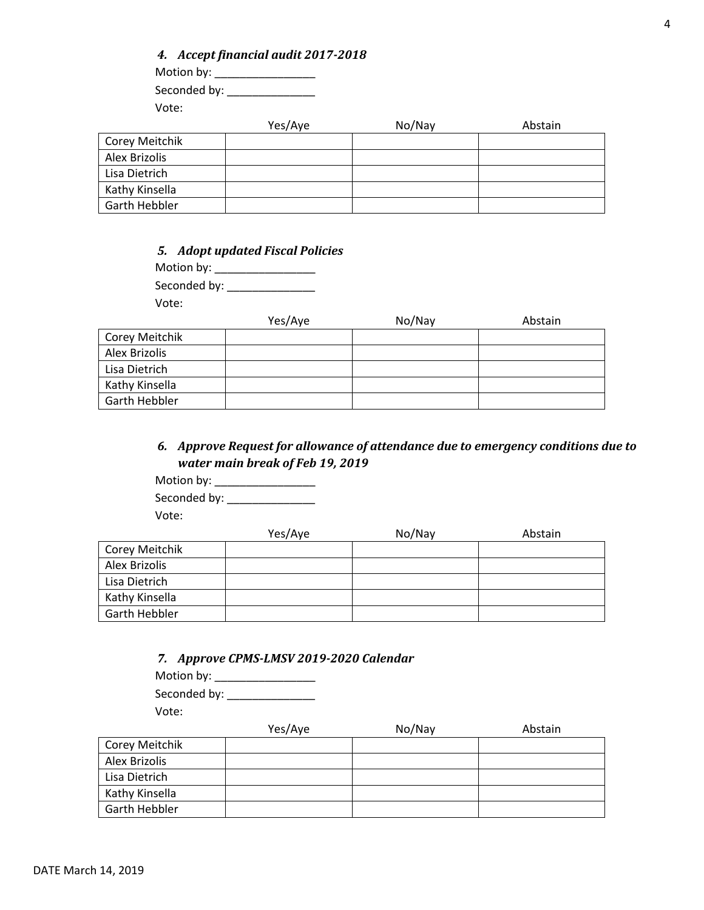|              | 4. Accept financial audit 2017-2018 |       |
|--------------|-------------------------------------|-------|
| Motion by:   |                                     |       |
| Seconded by: |                                     |       |
| Vote:        |                                     |       |
|              | Yes/Aye                             | No/Na |
| Meitchik     |                                     |       |

|                | Yes/Aye | No/Nay | Abstain |
|----------------|---------|--------|---------|
| Corey Meitchik |         |        |         |
| Alex Brizolis  |         |        |         |
| Lisa Dietrich  |         |        |         |
| Kathy Kinsella |         |        |         |
| Garth Hebbler  |         |        |         |

| <b>5.</b> Adopt updated Fiscal Policies |  |
|-----------------------------------------|--|
| Motion by:                              |  |
| Seconded by:                            |  |
| Vote:                                   |  |

|                      | Yes/Aye | No/Nay | Abstain |
|----------------------|---------|--------|---------|
| Corey Meitchik       |         |        |         |
| Alex Brizolis        |         |        |         |
| Lisa Dietrich        |         |        |         |
| Kathy Kinsella       |         |        |         |
| <b>Garth Hebbler</b> |         |        |         |

*6. Approve Request for allowance of attendance due to emergency conditions due to water main break of Feb 19, 2019*

| Motion by: $\overline{\phantom{a}}$ |  |
|-------------------------------------|--|
| Seconded by:                        |  |
| Vote:                               |  |

|                | Yes/Aye | No/Nay | Abstain |
|----------------|---------|--------|---------|
| Corey Meitchik |         |        |         |
| Alex Brizolis  |         |        |         |
| Lisa Dietrich  |         |        |         |
| Kathy Kinsella |         |        |         |
| Garth Hebbler  |         |        |         |

*7. Approve CPMS-LMSV 2019-2020 Calendar* 

| Motion by: $\overline{\phantom{a}}$ |  |
|-------------------------------------|--|
| Seconded by:                        |  |
| Vote:                               |  |

|                | Yes/Aye | No/Nay | Abstain |
|----------------|---------|--------|---------|
| Corey Meitchik |         |        |         |
| Alex Brizolis  |         |        |         |
| Lisa Dietrich  |         |        |         |
| Kathy Kinsella |         |        |         |
| Garth Hebbler  |         |        |         |